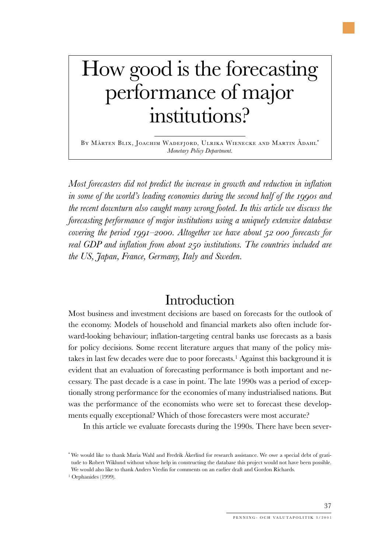# How good is the forecasting performance of major institutions?

BY MÅRTEN BLIX, JOACHIM WADEFJORD, ULRIKA WIENECKE AND MARTIN ÅDAHL<sup>\*</sup> *Monetary Policy Department.*

*Most forecasters did not predict the increase in growth and reduction in inflation in some of the world's leading economies during the second half of the 1990s and the recent downturn also caught many wrong footed. In this article we discuss the forecasting performance of major institutions using a uniquely extensive database covering the period –. Altogether we have about forecasts for real GDP and inflation from about institutions. The countries included are the US, Japan, France, Germany, Italy and Sweden.*

### Introduction

Most business and investment decisions are based on forecasts for the outlook of the economy. Models of household and financial markets also often include forward-looking behaviour; inflation-targeting central banks use forecasts as a basis for policy decisions. Some recent literature argues that many of the policy mistakes in last few decades were due to poor forecasts.<sup>1</sup> Against this background it is evident that an evaluation of forecasting performance is both important and necessary. The past decade is a case in point. The late 1990s was a period of exceptionally strong performance for the economies of many industrialised nations. But was the performance of the economists who were set to forecast these developments equally exceptional? Which of those forecasters were most accurate?

In this article we evaluate forecasts during the 1990s. There have been sever-

<sup>\*</sup> We would like to thank Maria Wahl and Fredrik Åkerlind for research assistance. We owe a special debt of gratitude to Robert Wiklund without whose help in constructing the database this project would not have been possible. We would also like to thank Anders Vredin for comments on an earlier draft and Gordon Richards.

<sup>&</sup>lt;sup>1</sup> Orphanides (1999).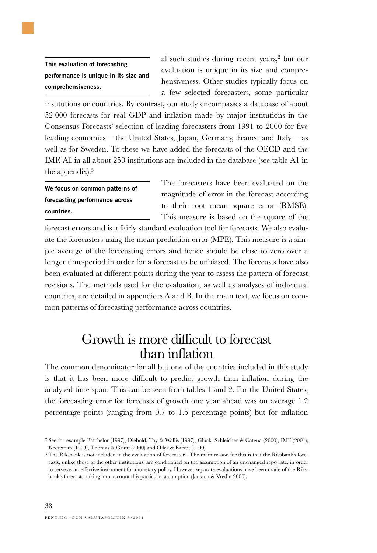**This evaluation of forecasting performance is unique in its size and comprehensiveness.**

al such studies during recent years,2 but our evaluation is unique in its size and comprehensiveness. Other studies typically focus on a few selected forecasters, some particular

institutions or countries. By contrast, our study encompasses a database of about 52 000 forecasts for real GDP and inflation made by major institutions in the Consensus Forecasts' selection of leading forecasters from 1991 to 2000 for five leading economies – the United States, Japan, Germany, France and Italy – as well as for Sweden. To these we have added the forecasts of the OECD and the IMF. All in all about 250 institutions are included in the database (see table A1 in the appendix). $3$ 

**We focus on common patterns of forecasting performance across countries.**

The forecasters have been evaluated on the magnitude of error in the forecast according to their root mean square error (RMSE). This measure is based on the square of the

forecast errors and is a fairly standard evaluation tool for forecasts. We also evaluate the forecasters using the mean prediction error (MPE). This measure is a simple average of the forecasting errors and hence should be close to zero over a longer time-period in order for a forecast to be unbiased. The forecasts have also been evaluated at different points during the year to assess the pattern of forecast revisions. The methods used for the evaluation, as well as analyses of individual countries, are detailed in appendices A and B. In the main text, we focus on common patterns of forecasting performance across countries.

### Growth is more difficult to forecast than inflation

The common denominator for all but one of the countries included in this study is that it has been more difficult to predict growth than inflation during the analysed time span. This can be seen from tables 1 and 2. For the United States, the forecasting error for forecasts of growth one year ahead was on average 1.2 percentage points (ranging from 0.7 to 1.5 percentage points) but for inflation

<sup>2</sup> See for example Batchelor (1997), Diebold, Tay & Wallis (1997), Glück, Schleicher & Catena (2000), IMF (2001), Keereman (1999), Thomas & Grant (2000) and Öller & Barrot (2000).

<sup>3</sup> The Riksbank is not included in the evaluation of forecasters. The main reason for this is that the Riksbank's forecasts, unlike those of the other institutions, are conditioned on the assumption of an unchanged repo rate, in order to serve as an effective instrument for monetary policy. However separate evaluations have been made of the Riksbank's forecasts, taking into account this particular assumption (Jansson & Vredin 2000).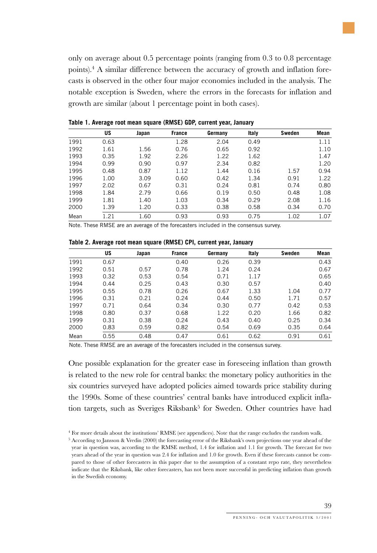only on average about 0.5 percentage points (ranging from 0.3 to 0.8 percentage points).4 A similar difference between the accuracy of growth and inflation forecasts is observed in the other four major economies included in the analysis. The notable exception is Sweden, where the errors in the forecasts for inflation and growth are similar (about 1 percentage point in both cases).

|      | US   | Japan | <b>France</b> | Germany | Italy | Sweden | Mean |
|------|------|-------|---------------|---------|-------|--------|------|
| 1991 | 0.63 |       | 1.28          | 2.04    | 0.49  |        | 1.11 |
| 1992 | 1.61 | 1.56  | 0.76          | 0.65    | 0.92  |        | 1.10 |
| 1993 | 0.35 | 1.92  | 2.26          | 1.22    | 1.62  |        | 1.47 |
| 1994 | 0.99 | 0.90  | 0.97          | 2.34    | 0.82  |        | 1.20 |
| 1995 | 0.48 | 0.87  | 1.12          | 1.44    | 0.16  | 1.57   | 0.94 |
| 1996 | 1.00 | 3.09  | 0.60          | 0.42    | 1.34  | 0.91   | 1.22 |
| 1997 | 2.02 | 0.67  | 0.31          | 0.24    | 0.81  | 0.74   | 0.80 |
| 1998 | 1.84 | 2.79  | 0.66          | 0.19    | 0.50  | 0.48   | 1.08 |
| 1999 | 1.81 | 1.40  | 1.03          | 0.34    | 0.29  | 2.08   | 1.16 |
| 2000 | 1.39 | 1.20  | 0.33          | 0.38    | 0.58  | 0.34   | 0.70 |
| Mean | 1.21 | 1.60  | 0.93          | 0.93    | 0.75  | 1.02   | 1.07 |

**Table 1. Average root mean square (RMSE) GDP, current year, January**

Note. These RMSE are an average of the forecasters included in the consensus survey.

|  |  |  |  |  |  |  |  | Table 2. Average root mean square (RMSE) CPI, current year, January |  |
|--|--|--|--|--|--|--|--|---------------------------------------------------------------------|--|
|--|--|--|--|--|--|--|--|---------------------------------------------------------------------|--|

|      | US   | Japan | France | Germany | Italy | Sweden | Mean |
|------|------|-------|--------|---------|-------|--------|------|
| 1991 | 0.67 |       | 0.40   | 0.26    | 0.39  |        | 0.43 |
| 1992 | 0.51 | 0.57  | 0.78   | 1.24    | 0.24  |        | 0.67 |
| 1993 | 0.32 | 0.53  | 0.54   | 0.71    | 1.17  |        | 0.65 |
| 1994 | 0.44 | 0.25  | 0.43   | 0.30    | 0.57  |        | 0.40 |
| 1995 | 0.55 | 0.78  | 0.26   | 0.67    | 1.33  | 1.04   | 0.77 |
| 1996 | 0.31 | 0.21  | 0.24   | 0.44    | 0.50  | 1.71   | 0.57 |
| 1997 | 0.71 | 0.64  | 0.34   | 0.30    | 0.77  | 0.42   | 0.53 |
| 1998 | 0.80 | 0.37  | 0.68   | 1.22    | 0.20  | 1.66   | 0.82 |
| 1999 | 0.31 | 0.38  | 0.24   | 0.43    | 0.40  | 0.25   | 0.34 |
| 2000 | 0.83 | 0.59  | 0.82   | 0.54    | 0.69  | 0.35   | 0.64 |
| Mean | 0.55 | 0.48  | 0.47   | 0.61    | 0.62  | 0.91   | 0.61 |

Note. These RMSE are an average of the forecasters included in the consensus survey.

One possible explanation for the greater ease in foreseeing inflation than growth is related to the new role for central banks: the monetary policy authorities in the six countries surveyed have adopted policies aimed towards price stability during the 1990s. Some of these countries' central banks have introduced explicit inflation targets, such as Sveriges Riksbank<sup>5</sup> for Sweden. Other countries have had

<sup>4</sup> For more details about the institutions' RMSE (see appendices). Note that the range excludes the random walk.

<sup>5</sup> According to Jansson & Vredin (2000) the forecasting error of the Riksbank's own projections one year ahead of the year in question was, according to the RMSE method, 1.4 for inflation and 1.1 for growth. The forecast for two years ahead of the year in question was 2.4 for inflation and 1.0 for growth. Even if these forecasts cannot be compared to those of other forecasters in this paper due to the assumption of a constant repo rate, they nevertheless indicate that the Riksbank, like other forecasters, has not been more successful in predicting inflation than growth in the Swedish economy.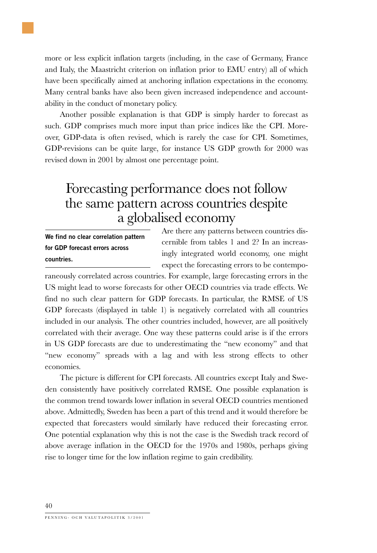more or less explicit inflation targets (including, in the case of Germany, France and Italy, the Maastricht criterion on inflation prior to EMU entry) all of which have been specifically aimed at anchoring inflation expectations in the economy. Many central banks have also been given increased independence and accountability in the conduct of monetary policy.

Another possible explanation is that GDP is simply harder to forecast as such. GDP comprises much more input than price indices like the CPI. Moreover, GDP-data is often revised, which is rarely the case for CPI. Sometimes, GDP-revisions can be quite large, for instance US GDP growth for 2000 was revised down in 2001 by almost one percentage point.

### Forecasting performance does not follow the same pattern across countries despite a globalised economy

**We find no clear correlation pattern for GDP forecast errors across countries.**

Are there any patterns between countries discernible from tables 1 and 2? In an increasingly integrated world economy, one might expect the forecasting errors to be contempo-

raneously correlated across countries. For example, large forecasting errors in the US might lead to worse forecasts for other OECD countries via trade effects. We find no such clear pattern for GDP forecasts. In particular, the RMSE of US GDP forecasts (displayed in table 1) is negatively correlated with all countries included in our analysis. The other countries included, however, are all positively correlated with their average. One way these patterns could arise is if the errors in US GDP forecasts are due to underestimating the "new economy" and that "new economy" spreads with a lag and with less strong effects to other economies.

The picture is different for CPI forecasts. All countries except Italy and Sweden consistently have positively correlated RMSE. One possible explanation is the common trend towards lower inflation in several OECD countries mentioned above. Admittedly, Sweden has been a part of this trend and it would therefore be expected that forecasters would similarly have reduced their forecasting error. One potential explanation why this is not the case is the Swedish track record of above average inflation in the OECD for the 1970s and 1980s, perhaps giving rise to longer time for the low inflation regime to gain credibility.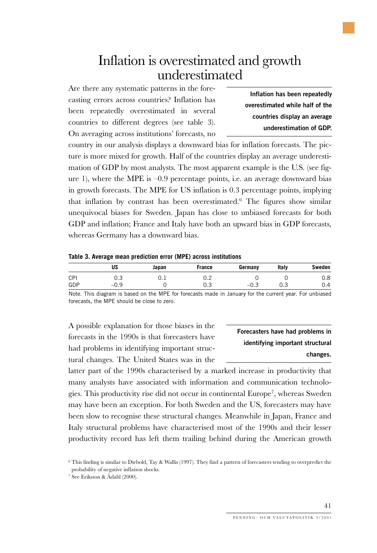### Inflation is overestimated and growth underestimated

Are there any systematic patterns in the forecasting errors across countries? Inflation has been repeatedly overestimated in several countries to different degrees (see table 3). On averaging across institutions' forecasts, no

**Inflation has been repeatedly overestimated while half of the countries display an average underestimation of GDP.**

country in our analysis displays a downward bias for inflation forecasts. The picture is more mixed for growth. Half of the countries display an average underestimation of GDP by most analysts. The most apparent example is the U.S. (see figure 1), where the MPE is  $-0.9$  percentage points, i.e. an average downward bias in growth forecasts. The MPE for US inflation is 0.3 percentage points, implying that inflation by contrast has been overestimated.6 The figures show similar unequivocal biases for Sweden. Japan has close to unbiased forecasts for both GDP and inflation; France and Italy have both an upward bias in GDP forecasts, whereas Germany has a downward bias.

#### **Table 3. Average mean prediction error (MPE) across institutions**

|     | US   | Japan | <b>France</b> | Germany | Italy | Sweden |
|-----|------|-------|---------------|---------|-------|--------|
| CPI | U.J  | ັ     | ◡.∠           |         |       | 0.8    |
| GDP | -0.9 |       | ∪.∪           | $-U.$   | ∪.∪   | 0.4    |

Note. This diagram is based on the MPE for forecasts made in January for the current year. For unbiased forecasts, the MPE should be close to zero.

A possible explanation for those biases in the forecasts in the 1990s is that forecasters have had problems in identifying important structural changes. The United States was in the

#### **Forecasters have had problems in identifying important structural changes.**

latter part of the 1990s characterised by a marked increase in productivity that many analysts have associated with information and communication technologies. This productivity rise did not occur in continental Europe7, whereas Sweden may have been an exception. For both Sweden and the US, forecasters may have been slow to recognise these structural changes. Meanwhile in Japan, France and Italy structural problems have characterised most of the 1990s and their lesser productivity record has left them trailing behind during the American growth

<sup>6</sup> This finding is similar to Diebold, Tay & Wallis (1997). They find a pattern of forecasters tending to overpredict the probability of negative inflation shocks.

<sup>7</sup> See Eriksson & Ådahl (2000).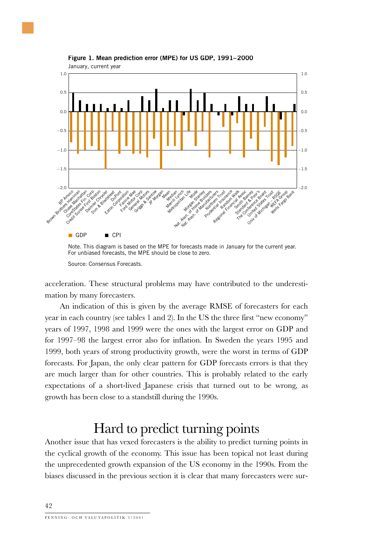

**Figure 1. Mean prediction error (MPE) for US GDP, 1991–2000**

Source: Consensus Forecasts.

acceleration. These structural problems may have contributed to the underestimation by many forecasters.

An indication of this is given by the average RMSE of forecasters for each year in each country (see tables 1 and 2). In the US the three first "new economy" years of 1997, 1998 and 1999 were the ones with the largest error on GDP and for 1997–98 the largest error also for inflation. In Sweden the years 1995 and 1999, both years of strong productivity growth, were the worst in terms of GDP forecasts. For Japan, the only clear pattern for GDP forecasts errors is that they are much larger than for other countries. This is probably related to the early expectations of a short-lived Japanese crisis that turned out to be wrong, as growth has been close to a standstill during the 1990s.

### Hard to predict turning points

Another issue that has vexed forecasters is the ability to predict turning points in the cyclical growth of the economy. This issue has been topical not least during the unprecedented growth expansion of the US economy in the 1990s. From the biases discussed in the previous section it is clear that many forecasters were sur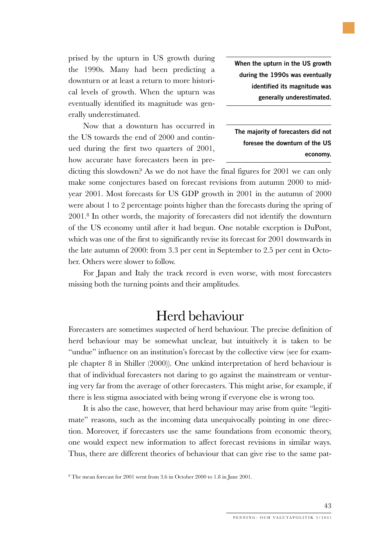prised by the upturn in US growth during the 1990s. Many had been predicting a downturn or at least a return to more historical levels of growth. When the upturn was eventually identified its magnitude was generally underestimated.

Now that a downturn has occurred in the US towards the end of 2000 and continued during the first two quarters of 2001, how accurate have forecasters been in pre**When the upturn in the US growth during the 1990s was eventually identified its magnitude was generally underestimated.**

**The majority of forecasters did not foresee the downturn of the US economy.**

dicting this slowdown? As we do not have the final figures for 2001 we can only make some conjectures based on forecast revisions from autumn 2000 to midyear 2001. Most forecasts for US GDP growth in 2001 in the autumn of 2000 were about 1 to 2 percentage points higher than the forecasts during the spring of 2001.8 In other words, the majority of forecasters did not identify the downturn of the US economy until after it had begun. One notable exception is DuPont, which was one of the first to significantly revise its forecast for 2001 downwards in the late autumn of 2000: from 3.3 per cent in September to 2.5 per cent in October. Others were slower to follow.

For Japan and Italy the track record is even worse, with most forecasters missing both the turning points and their amplitudes.

### Herd behaviour

Forecasters are sometimes suspected of herd behaviour. The precise definition of herd behaviour may be somewhat unclear, but intuitively it is taken to be "undue" influence on an institution's forecast by the collective view (see for example chapter 8 in Shiller (2000)). One unkind interpretation of herd behaviour is that of individual forecasters not daring to go against the mainstream or venturing very far from the average of other forecasters. This might arise, for example, if there is less stigma associated with being wrong if everyone else is wrong too.

It is also the case, however, that herd behaviour may arise from quite "legitimate" reasons, such as the incoming data unequivocally pointing in one direction. Moreover, if forecasters use the same foundations from economic theory, one would expect new information to affect forecast revisions in similar ways. Thus, there are different theories of behaviour that can give rise to the same pat-

<sup>8</sup> The mean forecast for 2001 went from 3.6 in October 2000 to 1.8 in June 2001.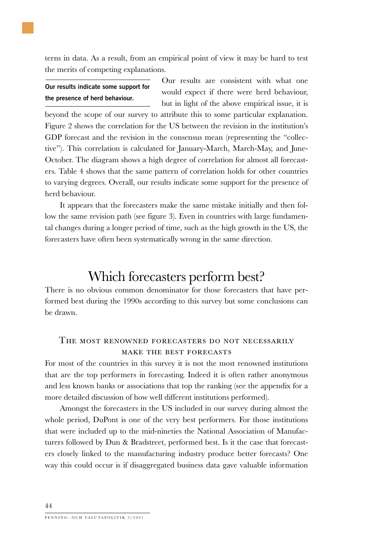terns in data. As a result, from an empirical point of view it may be hard to test the merits of competing explanations.

**Our results indicate some support for the presence of herd behaviour.**

Our results are consistent with what one would expect if there were herd behaviour, but in light of the above empirical issue, it is

beyond the scope of our survey to attribute this to some particular explanation. Figure 2 shows the correlation for the US between the revision in the institution's GDP forecast and the revision in the consensus mean (representing the "collective"). This correlation is calculated for January-March, March-May, and June-October. The diagram shows a high degree of correlation for almost all forecasters. Table 4 shows that the same pattern of correlation holds for other countries to varying degrees. Overall, our results indicate some support for the presence of herd behaviour.

It appears that the forecasters make the same mistake initially and then follow the same revision path (see figure 3). Even in countries with large fundamental changes during a longer period of time, such as the high growth in the US, the forecasters have often been systematically wrong in the same direction.

#### Which forecasters perform best?

There is no obvious common denominator for those forecasters that have performed best during the 1990s according to this survey but some conclusions can be drawn.

#### THE MOST RENOWNED FORECASTERS DO NOT NECESSARILY MAKE THE BEST FORECASTS

For most of the countries in this survey it is not the most renowned institutions that are the top performers in forecasting. Indeed it is often rather anonymous and less known banks or associations that top the ranking (see the appendix for a more detailed discussion of how well different institutions performed).

Amongst the forecasters in the US included in our survey during almost the whole period, DuPont is one of the very best performers. For those institutions that were included up to the mid-nineties the National Association of Manufacturers followed by Dun & Bradstreet, performed best. Is it the case that forecasters closely linked to the manufacturing industry produce better forecasts? One way this could occur is if disaggregated business data gave valuable information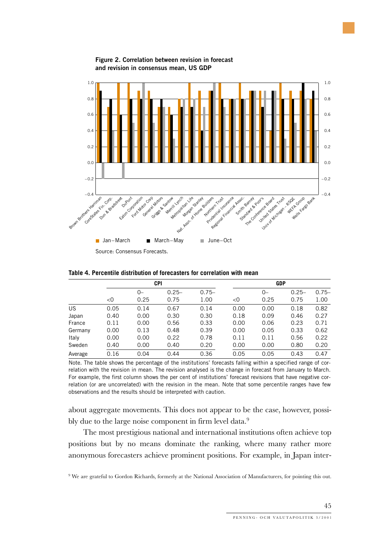

#### **Figure 2. Correlation between revision in forecast and revision in consensus mean, US GDP**

|         |      |       | CPI      |          |      | GDP   |          |          |  |
|---------|------|-------|----------|----------|------|-------|----------|----------|--|
|         |      | $O -$ | $0.25 -$ | $0.75 -$ |      | $0 -$ | $0.25 -$ | $0.75 -$ |  |
|         | < 0  | 0.25  | 0.75     | 1.00     | < 0  | 0.25  | 0.75     | 1.00     |  |
| US      | 0.05 | 0.14  | 0.67     | 0.14     | 0.00 | 0.00  | 0.18     | 0.82     |  |
| Japan   | 0.40 | 0.00  | 0.30     | 0.30     | 0.18 | 0.09  | 0.46     | 0.27     |  |
| France  | 0.11 | 0.00  | 0.56     | 0.33     | 0.00 | 0.06  | 0.23     | 0.71     |  |
| Germany | 0.00 | 0.13  | 0.48     | 0.39     | 0.00 | 0.05  | 0.33     | 0.62     |  |
| Italy   | 0.00 | 0.00  | 0.22     | 0.78     | 0.11 | 0.11  | 0.56     | 0.22     |  |
| Sweden  | 0.40 | 0.00  | 0.40     | 0.20     | 0.00 | 0.00  | 0.80     | 0.20     |  |
| Average | 0.16 | 0.04  | 0.44     | 0.36     | 0.05 | 0.05  | 0.43     | 0.47     |  |

Note. The table shows the percentage of the institutions' forecasts falling within a specified range of correlation with the revision in mean. The revision analysed is the change in forecast from January to March. For example, the first column shows the per cent of institutions' forecast revisions that have negative correlation (or are uncorrelated) with the revision in the mean. Note that some percentile ranges have few observations and the results should be interpreted with caution.

about aggregate movements. This does not appear to be the case, however, possibly due to the large noise component in firm level data.<sup>9</sup>

The most prestigious national and international institutions often achieve top positions but by no means dominate the ranking, where many rather more anonymous forecasters achieve prominent positions. For example, in Japan inter-

<sup>9</sup> We are grateful to Gordon Richards, formerly at the National Association of Manufacturers, for pointing this out.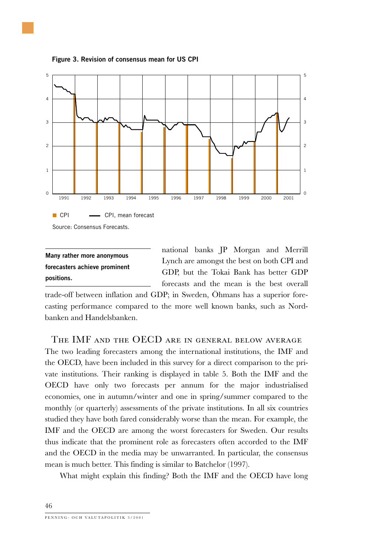

**Figure 3. Revision of consensus mean for US CPI**

#### **Many rather more anonymous forecasters achieve prominent positions.**

national banks JP Morgan and Merrill Lynch are amongst the best on both CPI and GDP, but the Tokai Bank has better GDP forecasts and the mean is the best overall

trade-off between inflation and GDP; in Sweden, Öhmans has a superior forecasting performance compared to the more well known banks, such as Nordbanken and Handelsbanken.

THE IMF AND THE OECD ARE IN GENERAL BELOW AVERAGE

The two leading forecasters among the international institutions, the IMF and the OECD, have been included in this survey for a direct comparison to the private institutions. Their ranking is displayed in table 5. Both the IMF and the OECD have only two forecasts per annum for the major industrialised economies, one in autumn/winter and one in spring/summer compared to the monthly (or quarterly) assessments of the private institutions. In all six countries studied they have both fared considerably worse than the mean. For example, the IMF and the OECD are among the worst forecasters for Sweden. Our results thus indicate that the prominent role as forecasters often accorded to the IMF and the OECD in the media may be unwarranted. In particular, the consensus mean is much better. This finding is similar to Batchelor (1997).

What might explain this finding? Both the IMF and the OECD have long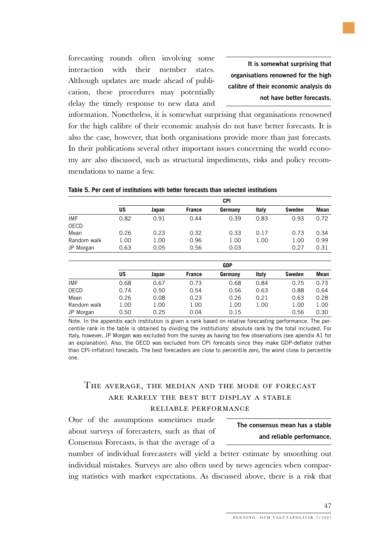forecasting rounds often involving some interaction with their member states. Although updates are made ahead of publication, these procedures may potentially delay the timely response to new data and

**It is somewhat surprising that organisations renowned for the high calibre of their economic analysis do not have better forecasts.**

information. Nonetheless, it is somewhat surprising that organisations renowned for the high calibre of their economic analysis do not have better forecasts. It is also the case, however, that both organisations provide more than just forecasts. In their publications several other important issues concerning the world economy are also discussed, such as structural impediments, risks and policy recommendations to name a few.

|             | CPI  |       |               |         |       |        |      |  |  |  |
|-------------|------|-------|---------------|---------|-------|--------|------|--|--|--|
|             | US   | Japan | <b>France</b> | Germany | Italy | Sweden | Mean |  |  |  |
| IMF         | 0.82 | 0.91  | 0.44          | 0.39    | 0.83  | 0.93   | 0.72 |  |  |  |
| <b>OECD</b> |      |       |               |         |       |        |      |  |  |  |
| Mean        | 0.26 | 0.23  | 0.32          | 0.33    | 0.17  | 0.73   | 0.34 |  |  |  |
| Random walk | 1.00 | 1.00  | 0.96          | 1.00    | 1.00  | 1.00   | 0.99 |  |  |  |
| JP Morgan   | 0.63 | 0.05  | 0.56          | 0.03    |       | 0.27   | 0.31 |  |  |  |
|             |      |       |               |         |       |        |      |  |  |  |

**Table 5. Per cent of institutions with better forecasts than selected institutions**

|             |      | GDP   |               |         |       |        |      |  |  |  |  |
|-------------|------|-------|---------------|---------|-------|--------|------|--|--|--|--|
|             | US   | Japan | <b>France</b> | Germany | Italy | Sweden | Mean |  |  |  |  |
| <b>IMF</b>  | 0.68 | 0.67  | 0.73          | 0.68    | 0.84  | 0.75   | 0.73 |  |  |  |  |
| <b>OECD</b> | 0.74 | 0.50  | 0.54          | 0.56    | 0.63  | 0.88   | 0.64 |  |  |  |  |
| Mean        | 0.26 | 0.08  | 0.23          | 0.26    | 0.21  | 0.63   | 0.28 |  |  |  |  |
| Random walk | 1.00 | 1.00  | 1.00          | 1.00    | 1.00  | 1.00   | 1.00 |  |  |  |  |
| JP Morgan   | 0.50 | 0.25  | 0.04          | 0.15    |       | 0.56   | 0.30 |  |  |  |  |

Note. In the appendix each institution is given a rank based on relative forecasting performance. The percentile rank in the table is obtained by dividing the institutions' absolute rank by the total included. For Italy, however, JP Morgan was excluded from the survey as having too few observations (see apendix A1 for an explanation). Also, the OECD was excluded from CPI forecasts since they make GDP-deflator (rather than CPI-inflation) forecasts. The best forecasters are close to percentile zero, the worst close to percentile one.

#### THE AVERAGE, THE MEDIAN AND THE MODE OF FORECAST ARE RARELY THE BEST BUT DISPLAY A STABLE RELIABLE PERFORMANCE

One of the assumptions sometimes made about surveys of forecasters, such as that of Consensus Forecasts, is that the average of a

**The consensus mean has a stable and reliable performance.**

number of individual forecasters will yield a better estimate by smoothing out individual mistakes. Surveys are also often used by news agencies when comparing statistics with market expectations. As discussed above, there is a risk that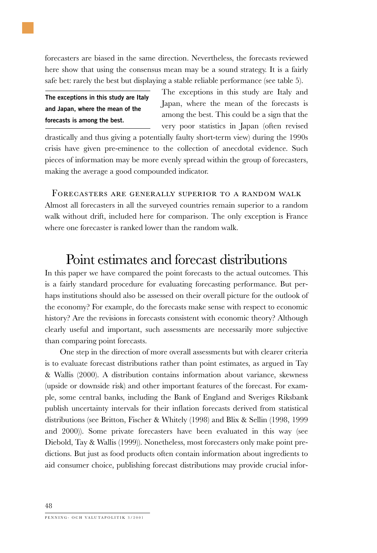forecasters are biased in the same direction. Nevertheless, the forecasts reviewed here show that using the consensus mean may be a sound strategy. It is a fairly safe bet: rarely the best but displaying a stable reliable performance (see table 5).

**The exceptions in this study are Italy and Japan, where the mean of the forecasts is among the best.**

The exceptions in this study are Italy and Japan, where the mean of the forecasts is among the best. This could be a sign that the very poor statistics in Japan (often revised

drastically and thus giving a potentially faulty short-term view) during the 1990s crisis have given pre-eminence to the collection of anecdotal evidence. Such pieces of information may be more evenly spread within the group of forecasters, making the average a good compounded indicator.

#### FORECASTERS ARE GENERALLY SUPERIOR TO A RANDOM WALK Almost all forecasters in all the surveyed countries remain superior to a random walk without drift, included here for comparison. The only exception is France where one forecaster is ranked lower than the random walk.

#### Point estimates and forecast distributions

In this paper we have compared the point forecasts to the actual outcomes. This is a fairly standard procedure for evaluating forecasting performance. But perhaps institutions should also be assessed on their overall picture for the outlook of the economy? For example, do the forecasts make sense with respect to economic history? Are the revisions in forecasts consistent with economic theory? Although clearly useful and important, such assessments are necessarily more subjective than comparing point forecasts.

One step in the direction of more overall assessments but with clearer criteria is to evaluate forecast distributions rather than point estimates, as argued in Tay & Wallis (2000). A distribution contains information about variance, skewness (upside or downside risk) and other important features of the forecast. For example, some central banks, including the Bank of England and Sveriges Riksbank publish uncertainty intervals for their inflation forecasts derived from statistical distributions (see Britton, Fischer & Whitely (1998) and Blix & Sellin (1998, 1999 and 2000)). Some private forecasters have been evaluated in this way (see Diebold, Tay & Wallis (1999)). Nonetheless, most forecasters only make point predictions. But just as food products often contain information about ingredients to aid consumer choice, publishing forecast distributions may provide crucial infor-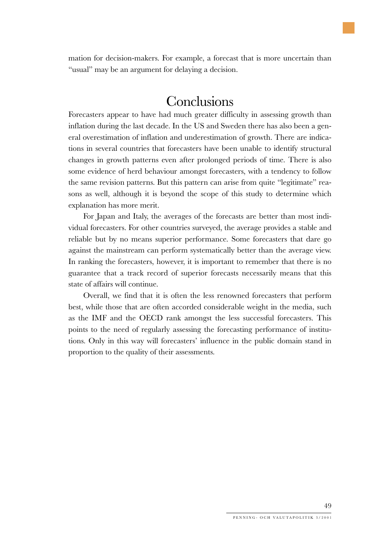mation for decision-makers. For example, a forecast that is more uncertain than "usual" may be an argument for delaying a decision.

### **Conclusions**

Forecasters appear to have had much greater difficulty in assessing growth than inflation during the last decade. In the US and Sweden there has also been a general overestimation of inflation and underestimation of growth. There are indications in several countries that forecasters have been unable to identify structural changes in growth patterns even after prolonged periods of time. There is also some evidence of herd behaviour amongst forecasters, with a tendency to follow the same revision patterns. But this pattern can arise from quite "legitimate" reasons as well, although it is beyond the scope of this study to determine which explanation has more merit.

For Japan and Italy, the averages of the forecasts are better than most individual forecasters. For other countries surveyed, the average provides a stable and reliable but by no means superior performance. Some forecasters that dare go against the mainstream can perform systematically better than the average view. In ranking the forecasters, however, it is important to remember that there is no guarantee that a track record of superior forecasts necessarily means that this state of affairs will continue.

Overall, we find that it is often the less renowned forecasters that perform best, while those that are often accorded considerable weight in the media, such as the IMF and the OECD rank amongst the less successful forecasters. This points to the need of regularly assessing the forecasting performance of institutions. Only in this way will forecasters' influence in the public domain stand in proportion to the quality of their assessments.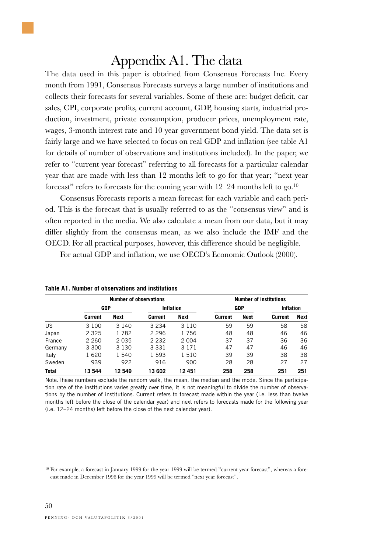### Appendix A1. The data

The data used in this paper is obtained from Consensus Forecasts Inc. Every month from 1991, Consensus Forecasts surveys a large number of institutions and collects their forecasts for several variables. Some of these are: budget deficit, car sales, CPI, corporate profits, current account, GDP, housing starts, industrial production, investment, private consumption, producer prices, unemployment rate, wages, 3-month interest rate and 10 year government bond yield. The data set is fairly large and we have selected to focus on real GDP and inflation (see table A1 for details of number of observations and institutions included). In the paper, we refer to "current year forecast" referring to all forecasts for a particular calendar year that are made with less than 12 months left to go for that year; "next year forecast" refers to forecasts for the coming year with  $12-24$  months left to go.<sup>10</sup>

Consensus Forecasts reports a mean forecast for each variable and each period. This is the forecast that is usually referred to as the "consensus view" and is often reported in the media. We also calculate a mean from our data, but it may differ slightly from the consensus mean, as we also include the IMF and the OECD. For all practical purposes, however, this difference should be negligible.

For actual GDP and inflation, we use OECD's Economic Outlook (2000).

|              |         | <b>Number of observations</b> |         |           |         | <b>Number of institutions</b> |         |      |  |
|--------------|---------|-------------------------------|---------|-----------|---------|-------------------------------|---------|------|--|
|              | GDP     |                               |         | Inflation |         | GDP<br>Inflation              |         |      |  |
|              | Current | <b>Next</b>                   | Current | Next      | Current | Next                          | Current | Next |  |
| US           | 3 100   | 3 1 4 0                       | 3 2 3 4 | 3 1 1 0   | 59      | 59                            | 58      | 58   |  |
| Japan        | 2 3 2 5 | 1782                          | 2 2 9 6 | 1756      | 48      | 48                            | 46      | 46   |  |
| France       | 2 2 6 0 | 2035                          | 2 2 3 2 | 2 0 0 4   | 37      | 37                            | 36      | 36   |  |
| Germany      | 3 300   | 3 1 3 0                       | 3 3 3 1 | 3 1 7 1   | 47      | 47                            | 46      | 46   |  |
| Italy        | 1620    | 1540                          | 1 5 9 3 | 1510      | 39      | 39                            | 38      | 38   |  |
| Sweden       | 939     | 922                           | 916     | 900       | 28      | 28                            | 27      | 27   |  |
| <b>Total</b> | 13 544  | 12 549                        | 13 602  | 12 451    | 258     | 258                           | 251     | 251  |  |

**Table A1. Number of observations and institutions**

Note.These numbers exclude the random walk, the mean, the median and the mode. Since the participation rate of the institutions varies greatly over time, it is not meaningful to divide the number of observations by the number of institutions. Current refers to forecast made within the year (i.e. less than twelve months left before the close of the calendar year) and next refers to forecasts made for the following year (i.e. 12–24 months) left before the close of the next calendar year).

<sup>10</sup> For example, a forecast in January 1999 for the year 1999 will be termed "current year forecast", whereas a forecast made in December 1998 for the year 1999 will be termed "next year forecast".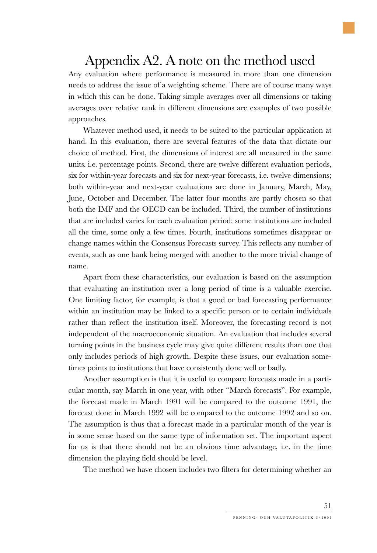## Appendix A2. A note on the method used

Any evaluation where performance is measured in more than one dimension needs to address the issue of a weighting scheme. There are of course many ways in which this can be done. Taking simple averages over all dimensions or taking averages over relative rank in different dimensions are examples of two possible approaches.

Whatever method used, it needs to be suited to the particular application at hand. In this evaluation, there are several features of the data that dictate our choice of method. First, the dimensions of interest are all measured in the same units, i.e. percentage points. Second, there are twelve different evaluation periods, six for within-year forecasts and six for next-year forecasts, i.e. twelve dimensions; both within-year and next-year evaluations are done in January, March, May, June, October and December. The latter four months are partly chosen so that both the IMF and the OECD can be included. Third, the number of institutions that are included varies for each evaluation period: some institutions are included all the time, some only a few times. Fourth, institutions sometimes disappear or change names within the Consensus Forecasts survey. This reflects any number of events, such as one bank being merged with another to the more trivial change of name.

Apart from these characteristics, our evaluation is based on the assumption that evaluating an institution over a long period of time is a valuable exercise. One limiting factor, for example, is that a good or bad forecasting performance within an institution may be linked to a specific person or to certain individuals rather than reflect the institution itself. Moreover, the forecasting record is not independent of the macroeconomic situation. An evaluation that includes several turning points in the business cycle may give quite different results than one that only includes periods of high growth. Despite these issues, our evaluation sometimes points to institutions that have consistently done well or badly.

Another assumption is that it is useful to compare forecasts made in a particular month, say March in one year, with other "March forecasts". For example, the forecast made in March 1991 will be compared to the outcome 1991, the forecast done in March 1992 will be compared to the outcome 1992 and so on. The assumption is thus that a forecast made in a particular month of the year is in some sense based on the same type of information set. The important aspect for us is that there should not be an obvious time advantage, i.e. in the time dimension the playing field should be level.

The method we have chosen includes two filters for determining whether an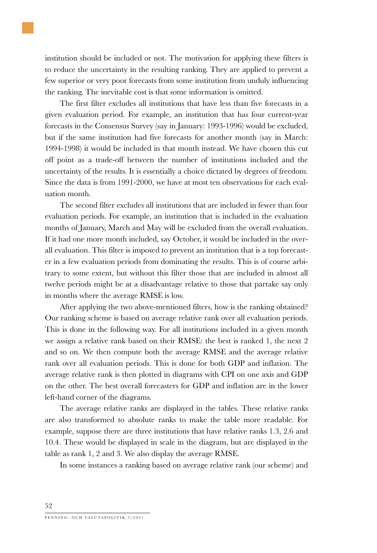institution should be included or not. The motivation for applying these filters is to reduce the uncertainty in the resulting ranking. They are applied to prevent a few superior or very poor forecasts from some institution from unduly influencing the ranking. The inevitable cost is that some information is omitted.

The first filter excludes all institutions that have less than five forecasts in a given evaluation period. For example, an institution that has four current-year forecasts in the Consensus Survey (say in January: 1993-1996) would be excluded, but if the same institution had five forecasts for another month (say in March: 1994-1998) it would be included in that month instead. We have chosen this cut off point as a trade-off between the number of institutions included and the uncertainty of the results. It is essentially a choice dictated by degrees of freedom. Since the data is from 1991-2000, we have at most ten observations for each evaluation month.

The second filter excludes all institutions that are included in fewer than four evaluation periods. For example, an institution that is included in the evaluation months of January, March and May will be excluded from the overall evaluation. If it had one more month included, say October, it would be included in the overall evaluation. This filter is imposed to prevent an institution that is a top forecaster in a few evaluation periods from dominating the results. This is of course arbitrary to some extent, but without this filter those that are included in almost all twelve periods might be at a disadvantage relative to those that partake say only in months where the average RMSE is low.

After applying the two above-mentioned filters, how is the ranking obtained? Our ranking scheme is based on average relative rank over all evaluation periods. This is done in the following way. For all institutions included in a given month we assign a relative rank based on their RMSE: the best is ranked 1, the next 2 and so on. We then compute both the average RMSE and the average relative rank over all evaluation periods. This is done for both GDP and inflation. The average relative rank is then plotted in diagrams with CPI on one axis and GDP on the other. The best overall forecasters for GDP and inflation are in the lower left-hand corner of the diagrams.

The average relative ranks are displayed in the tables. These relative ranks are also transformed to absolute ranks to make the table more readable. For example, suppose there are three institutions that have relative ranks 1.3, 2.6 and 10.4. These would be displayed in scale in the diagram, but are displayed in the table as rank 1, 2 and 3. We also display the average RMSE.

In some instances a ranking based on average relative rank (our scheme) and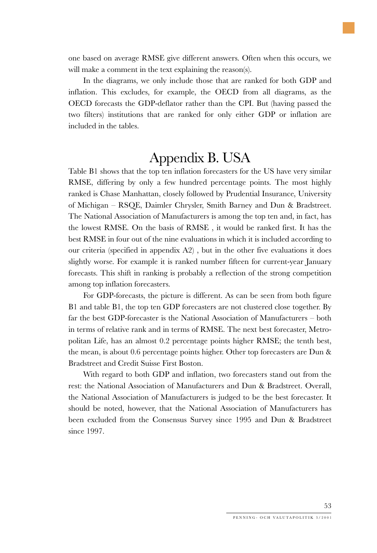one based on average RMSE give different answers. Often when this occurs, we will make a comment in the text explaining the reason(s).

In the diagrams, we only include those that are ranked for both GDP and inflation. This excludes, for example, the OECD from all diagrams, as the OECD forecasts the GDP-deflator rather than the CPI. But (having passed the two filters) institutions that are ranked for only either GDP or inflation are included in the tables.

# Appendix B. USA

Table B1 shows that the top ten inflation forecasters for the US have very similar RMSE, differing by only a few hundred percentage points. The most highly ranked is Chase Manhattan, closely followed by Prudential Insurance, University of Michigan – RSQE, Daimler Chrysler, Smith Barney and Dun & Bradstreet. The National Association of Manufacturers is among the top ten and, in fact, has the lowest RMSE. On the basis of RMSE , it would be ranked first. It has the best RMSE in four out of the nine evaluations in which it is included according to our criteria (specified in appendix  $A2$ ), but in the other five evaluations it does slightly worse. For example it is ranked number fifteen for current-year January forecasts. This shift in ranking is probably a reflection of the strong competition among top inflation forecasters.

For GDP-forecasts, the picture is different. As can be seen from both figure B1 and table B1, the top ten GDP forecasters are not clustered close together. By far the best GDP-forecaster is the National Association of Manufacturers – both in terms of relative rank and in terms of RMSE. The next best forecaster, Metropolitan Life, has an almost 0.2 percentage points higher RMSE; the tenth best, the mean, is about 0.6 percentage points higher. Other top forecasters are Dun & Bradstreet and Credit Suisse First Boston.

With regard to both GDP and inflation, two forecasters stand out from the rest: the National Association of Manufacturers and Dun & Bradstreet. Overall, the National Association of Manufacturers is judged to be the best forecaster. It should be noted, however, that the National Association of Manufacturers has been excluded from the Consensus Survey since 1995 and Dun & Bradstreet since 1997.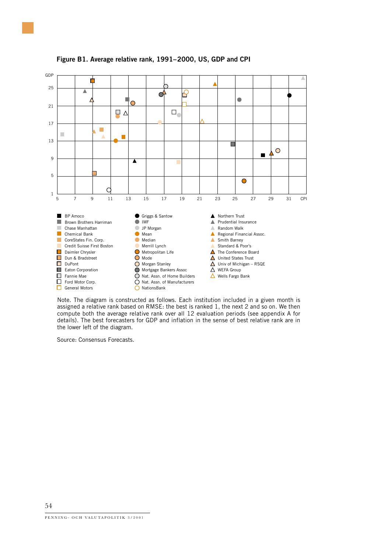

#### **Figure B1. Average relative rank, 1991–2000, US, GDP and CPI**

Note. The diagram is constructed as follows. Each institution included in a given month is assigned a relative rank based on RMSE: the best is ranked 1, the next 2 and so on. We then compute both the average relative rank over all 12 evaluation periods (see appendix A for details). The best forecasters for GDP and inflation in the sense of best relative rank are in the lower left of the diagram.

Source: Consensus Forecasts.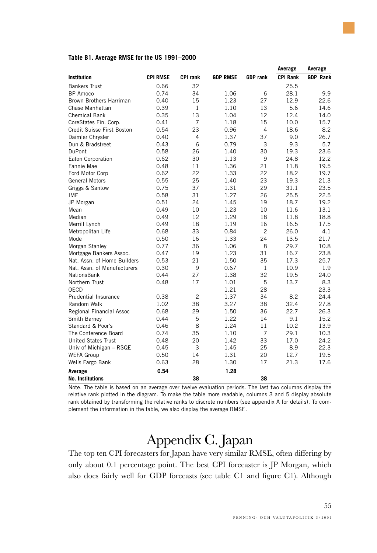|                             |                 |                 |                 |                 | Average         | Average         |
|-----------------------------|-----------------|-----------------|-----------------|-----------------|-----------------|-----------------|
| Institution                 | <b>CPI RMSE</b> | <b>CPI rank</b> | <b>GDP RMSE</b> | <b>GDP</b> rank | <b>CPI Rank</b> | <b>GDP Rank</b> |
| <b>Bankers Trust</b>        | 0.66            | 32              |                 |                 | 25.5            |                 |
| BP Amoco                    | 0.74            | 34              | 1.06            | 6               | 28.1            | 9.9             |
| Brown Brothers Harriman     | 0.40            | 15              | 1.23            | 27              | 12.9            | 22.6            |
| Chase Manhattan             | 0.39            | 1               | 1.10            | 13              | 5.6             | 14.6            |
| Chemical Bank               | 0.35            | 13              | 1.04            | 12              | 12.4            | 14.0            |
| CoreStates Fin. Corp.       | 0.41            | $\overline{7}$  | 1.18            | 15              | 10.0            | 15.7            |
| Credit Suisse First Boston  | 0.54            | 23              | 0.96            | 4               | 18.6            | 8.2             |
| Daimler Chrysler            | 0.40            | 4               | 1.37            | 37              | 9.0             | 26.7            |
| Dun & Bradstreet            | 0.43            | 6               | 0.79            | 3               | 9.3             | 5.7             |
| <b>DuPont</b>               | 0.58            | 26              | 1.40            | 30              | 19.3            | 23.6            |
| Eaton Corporation           | 0.62            | 30              | 1.13            | 9               | 24.8            | 12.2            |
| Fannie Mae                  | 0.48            | 11              | 1.36            | 21              | 11.8            | 19.5            |
| Ford Motor Corp             | 0.62            | 22              | 1.33            | 22              | 18.2            | 19.7            |
| General Motors              | 0.55            | 25              | 1.40            | 23              | 19.3            | 21.3            |
| Griggs & Santow             | 0.75            | 37              | 1.31            | 29              | 31.1            | 23.5            |
| <b>IMF</b>                  | 0.58            | 31              | 1.27            | 26              | 25.5            | 22.5            |
| JP Morgan                   | 0.51            | 24              | 1.45            | 19              | 18.7            | 19.2            |
| Mean                        | 0.49            | 10              | 1.23            | 10              | 11.6            | 13.1            |
| Median                      | 0.49            | 12              | 1.29            | 18              | 11.8            | 18.8            |
| Merrill Lynch               | 0.49            | 18              | 1.19            | 16              | 16.5            | 17.5            |
| Metropolitan Life           | 0.68            | 33              | 0.84            | $\overline{c}$  | 26.0            | 4.1             |
| Mode                        | 0.50            | 16              | 1.33            | 24              | 13.5            | 21.7            |
| Morgan Stanley              | 0.77            | 36              | 1.06            | 8               | 29.7            | 10.8            |
| Mortgage Bankers Assoc.     | 0.47            | 19              | 1.23            | 31              | 16.7            | 23.8            |
| Nat. Assn. of Home Builders | 0.53            | 21              | 1.50            | 35              | 17.3            | 25.7            |
| Nat. Assn. of Manufacturers | 0.30            | 9               | 0.67            | $\mathbf{1}$    | 10.9            | 1.9             |
| NationsBank                 | 0.44            | 27              | 1.38            | 32              | 19.5            | 24.0            |
| Northern Trust              | 0.48            | 17              | 1.01            | 5               | 13.7            | 8.3             |
| OECD                        |                 |                 | 1.21            | 28              |                 | 23.3            |
| <b>Prudential Insurance</b> | 0.38            | $\overline{c}$  | 1.37            | 34              | 8.2             | 24.4            |
| Random Walk                 | 1.02            | 38              | 3.27            | 38              | 32.4            | 27.8            |
| Regional Financial Assoc    | 0.68            | 29              | 1.50            | 36              | 22.7            | 26.3            |
| Smith Barney                | 0.44            | 5               | 1.22            | 14              | 9.1             | 15.2            |
| Standard & Poor's           | 0.46            | 8               | 1.24            | 11              | 10.2            | 13.9            |
| The Conference Board        | 0.74            | 35              | 1.10            | 7               | 29.1            | 10.3            |
| <b>United States Trust</b>  | 0.48            | 20              | 1.42            | 33              | 17.0            | 24.2            |
| Univ of Michigan - RSQE     | 0.45            | 3               | 1.45            | 25              | 8.9             | 22.3            |
| <b>WEFA Group</b>           | 0.50            | 14              | 1.31            | 20              | 12.7            | 19.5            |
| Wells Fargo Bank            | 0.63            | 28              | 1.30            | 17              | 21.3            | 17.6            |
| Average                     | 0.54            |                 | 1.28            |                 |                 |                 |
| <b>No. Institutions</b>     |                 | 38              |                 | 38              |                 |                 |

#### **Table B1. Average RMSE for the US 1991–2000**

Note. The table is based on an average over twelve evaluation periods. The last two columns display the relative rank plotted in the diagram. To make the table more readable, columns 3 and 5 display absolute rank obtained by transforming the relative ranks to discrete numbers (see appendix A for details). To complement the information in the table, we also display the average RMSE.

# Appendix C. Japan

The top ten CPI forecasters for Japan have very similar RMSE, often differing by only about 0.1 percentage point. The best CPI forecaster is JP Morgan, which also does fairly well for GDP forecasts (see table C1 and figure C1). Although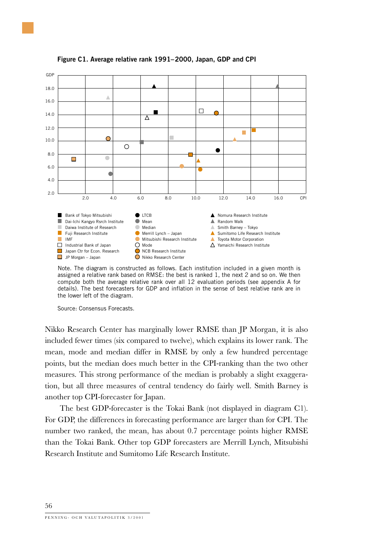

**Figure C1. Average relative rank 1991–2000, Japan, GDP and CPI**

Note. The diagram is constructed as follows. Each institution included in a given month is assigned a relative rank based on RMSE: the best is ranked 1, the next 2 and so on. We then compute both the average relative rank over all 12 evaluation periods (see appendix A for details). The best forecasters for GDP and inflation in the sense of best relative rank are in the lower left of the diagram.

Source: Consensus Forecasts.

Nikko Research Center has marginally lower RMSE than JP Morgan, it is also included fewer times (six compared to twelve), which explains its lower rank. The mean, mode and median differ in RMSE by only a few hundred percentage points, but the median does much better in the CPI-ranking than the two other measures. This strong performance of the median is probably a slight exaggeration, but all three measures of central tendency do fairly well. Smith Barney is another top CPI-forecaster for Japan.

The best GDP-forecaster is the Tokai Bank (not displayed in diagram C1). For GDP, the differences in forecasting performance are larger than for CPI. The number two ranked, the mean, has about 0.7 percentage points higher RMSE than the Tokai Bank. Other top GDP forecasters are Merrill Lynch, Mitsubishi Research Institute and Sumitomo Life Research Institute.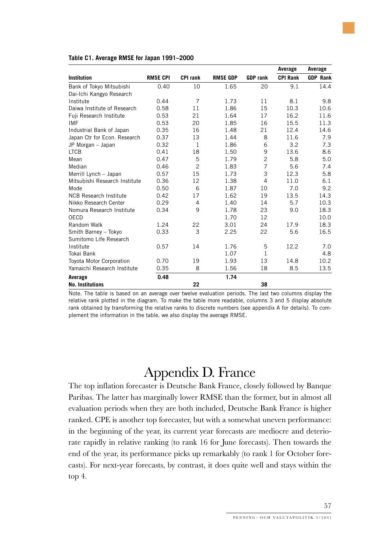|                                 |                 |                 |                 |                 | Average         | Average         |
|---------------------------------|-----------------|-----------------|-----------------|-----------------|-----------------|-----------------|
| <b>Institution</b>              | <b>RMSE CPI</b> | <b>CPI rank</b> | <b>RMSE GDP</b> | <b>GDP</b> rank | <b>CPI Rank</b> | <b>GDP Rank</b> |
| Bank of Tokyo Mitsubishi        | 0.40            | 10              | 1.65            | 20              | 9.1             | 14.4            |
| Dai-Ichi Kangyo Research        |                 |                 |                 |                 |                 |                 |
| Institute                       | 0.44            | 7               | 1.73            | 11              | 8.1             | 9.8             |
| Daiwa Institute of Research     | 0.58            | 11              | 1.86            | 15              | 10.3            | 10.6            |
| Fuji Research Institute         | 0.53            | 21              | 1.64            | 17              | 16.2            | 11.6            |
| <b>IMF</b>                      | 0.53            | 20              | 1.85            | 16              | 15.5            | 11.3            |
| Industrial Bank of Japan        | 0.35            | 16              | 1.48            | 21              | 12.4            | 14.6            |
| Japan Ctr for Econ. Research    | 0.37            | 13              | 1.44            | 8               | 11.6            | 7.9             |
| JP Morgan - Japan               | 0.32            | $\mathbf{1}$    | 1.86            | 6               | 3.2             | 7.3             |
| <b>LTCB</b>                     | 0.41            | 18              | 1.50            | 9               | 13.6            | 8.6             |
| Mean                            | 0.47            | 5               | 1.79            | $\overline{c}$  | 5.8             | 5.0             |
| Median                          | 0.46            | $\overline{c}$  | 1.83            | $\overline{7}$  | 5.6             | 7.4             |
| Merrill Lynch - Japan           | 0.57            | 15              | 1.73            | 3               | 12.3            | 5.8             |
| Mitsubishi Research Institute   | 0.36            | 12              | 1.38            | $\overline{4}$  | 11.0            | 6.1             |
| Mode                            | 0.50            | 6               | 1.87            | 10              | 7.0             | 9.2             |
| <b>NCB Research Institute</b>   | 0.42            | 17              | 1.62            | 19              | 13.5            | 14.3            |
| Nikko Research Center           | 0.29            | 4               | 1.40            | 14              | 5.7             | 10.3            |
| Nomura Research Institute       | 0.34            | 9               | 1.78            | 23              | 9.0             | 18.3            |
| OECD                            |                 |                 | 1.70            | 12              |                 | 10.0            |
| Random Walk                     | 1.24            | 22              | 3.01            | 24              | 17.9            | 18.3            |
| Smith Barney - Tokyo            | 0.33            | 3               | 2.25            | 22              | 5.6             | 16.5            |
| Sumitomo Life Research          |                 |                 |                 |                 |                 |                 |
| Institute                       | 0.57            | 14              | 1.76            | 5               | 12.2            | 7.0             |
| Tokai Bank                      |                 |                 | 1.07            | $\mathbf{1}$    |                 | 4.8             |
| <b>Toyota Motor Corporation</b> | 0.70            | 19              | 1.93            | 13              | 14.8            | 10.2            |
| Yamaichi Research Institute     | 0.35            | 8               | 1.56            | 18              | 8.5             | 13.5            |
| Average                         | 0.48            |                 | 1.74            |                 |                 |                 |
| <b>No. Institutions</b>         |                 | 22              |                 | 38              |                 |                 |

#### **Table C1. Average RMSE for Japan 1991–2000**

Note. The table is based on an average over twelve evaluation periods. The last two columns display the relative rank plotted in the diagram. To make the table more readable, columns 3 and 5 display absolute rank obtained by transforming the relative ranks to discrete numbers (see appendix A for details). To complement the information in the table, we also display the average RMSE.

# Appendix D. France

The top inflation forecaster is Deutsche Bank France, closely followed by Banque Paribas. The latter has marginally lower RMSE than the former, but in almost all evaluation periods when they are both included, Deutsche Bank France is higher ranked. CPE is another top forecaster, but with a somewhat uneven performance: in the beginning of the year, its current year forecasts are mediocre and deteriorate rapidly in relative ranking (to rank 16 for June forecasts). Then towards the end of the year, its performance picks up remarkably (to rank 1 for October forecasts). For next-year forecasts, by contrast, it does quite well and stays within the top 4.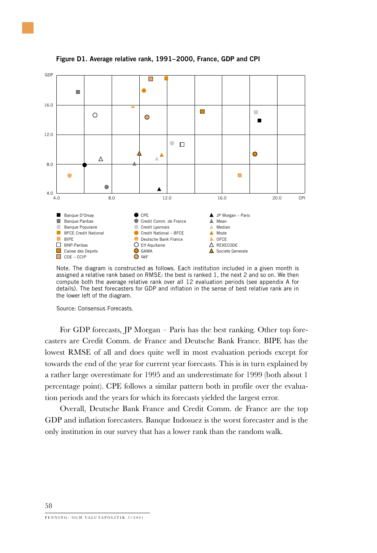

**Figure D1. Average relative rank, 1991–2000, France, GDP and CPI**

Note. The diagram is constructed as follows. Each institution included in a given month is assigned a relative rank based on RMSE: the best is ranked 1, the next 2 and so on. We then compute both the average relative rank over all 12 evaluation periods (see appendix A for details). The best forecasters for GDP and inflation in the sense of best relative rank are in the lower left of the diagram.

Source: Consensus Forecasts.

For GDP forecasts, JP Morgan – Paris has the best ranking. Other top forecasters are Credit Comm. de France and Deutsche Bank France. BIPE has the lowest RMSE of all and does quite well in most evaluation periods except for towards the end of the year for current year forecasts. This is in turn explained by a rather large overestimate for 1995 and an underestimate for 1999 (both about 1 percentage point). CPE follows a similar pattern both in profile over the evaluation periods and the years for which its forecasts yielded the largest error.

Overall, Deutsche Bank France and Credit Comm. de France are the top GDP and inflation forecasters. Banque Indosuez is the worst forecaster and is the only institution in our survey that has a lower rank than the random walk.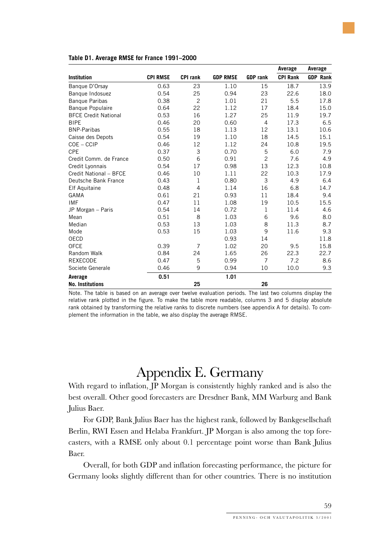|                             |                 |                 |                 |                 | Average         | Average         |
|-----------------------------|-----------------|-----------------|-----------------|-----------------|-----------------|-----------------|
| <b>Institution</b>          | <b>CPI RMSE</b> | <b>CPI rank</b> | <b>GDP RMSE</b> | <b>GDP</b> rank | <b>CPI Rank</b> | <b>GDP Rank</b> |
| Banque D'Orsay              | 0.63            | 23              | 1.10            | 15              | 18.7            | 13.9            |
| Banque Indosuez             | 0.54            | 25              | 0.94            | 23              | 22.6            | 18.0            |
| <b>Banque Paribas</b>       | 0.38            | $\overline{c}$  | 1.01            | 21              | 5.5             | 17.8            |
| <b>Banque Populaire</b>     | 0.64            | 22              | 1.12            | 17              | 18.4            | 15.0            |
| <b>BFCE Credit National</b> | 0.53            | 16              | 1.27            | 25              | 11.9            | 19.7            |
| <b>BIPE</b>                 | 0.46            | 20              | 0.60            | $\overline{4}$  | 17.3            | 6.5             |
| <b>BNP-Paribas</b>          | 0.55            | 18              | 1.13            | 12              | 13.1            | 10.6            |
| Caisse des Depots           | 0.54            | 19              | 1.10            | 18              | 14.5            | 15.1            |
| $COE - CCIP$                | 0.46            | 12              | 1.12            | 24              | 10.8            | 19.5            |
| CPE                         | 0.37            | 3               | 0.70            | 5               | 6.0             | 7.9             |
| Credit Comm. de France      | 0.50            | 6               | 0.91            | $\overline{c}$  | 7.6             | 4.9             |
| Credit Lyonnais             | 0.54            | 17              | 0.98            | 13              | 12.3            | 10.8            |
| Credit National - BFCE      | 0.46            | 10              | 1.11            | 22              | 10.3            | 17.9            |
| Deutsche Bank France        | 0.43            | $\mathbf{1}$    | 0.80            | 3               | 4.9             | 6.4             |
| <b>Elf Aquitaine</b>        | 0.48            | $\overline{4}$  | 1.14            | 16              | 6.8             | 14.7            |
| <b>GAMA</b>                 | 0.61            | 21              | 0.93            | 11              | 18.4            | 9.4             |
| <b>IMF</b>                  | 0.47            | 11              | 1.08            | 19              | 10.5            | 15.5            |
| JP Morgan - Paris           | 0.54            | 14              | 0.72            | 1               | 11.4            | 4.6             |
| Mean                        | 0.51            | 8               | 1.03            | 6               | 9.6             | 8.0             |
| Median                      | 0.53            | 13              | 1.03            | 8               | 11.3            | 8.7             |
| Mode                        | 0.53            | 15              | 1.03            | 9               | 11.6            | 9.3             |
| OECD                        |                 |                 | 0.93            | 14              |                 | 11.8            |
| OFCE                        | 0.39            | $\overline{7}$  | 1.02            | 20              | 9.5             | 15.8            |
| Random Walk                 | 0.84            | 24              | 1.65            | 26              | 22.3            | 22.7            |
| REXECODE                    | 0.47            | 5               | 0.99            | $\overline{7}$  | 7.2             | 8.6             |
| Societe Generale            | 0.46            | 9               | 0.94            | 10              | 10.0            | 9.3             |
| Average                     | 0.51            |                 | 1.01            |                 |                 |                 |
| <b>No. Institutions</b>     |                 | 25              |                 | 26              |                 |                 |

#### **Table D1. Average RMSE for France 1991–2000**

Note. The table is based on an average over twelve evaluation periods. The last two columns display the relative rank plotted in the figure. To make the table more readable, columns 3 and 5 display absolute rank obtained by transforming the relative ranks to discrete numbers (see appendix A for details). To complement the information in the table, we also display the average RMSE.

### Appendix E. Germany

With regard to inflation, JP Morgan is consistently highly ranked and is also the best overall. Other good forecasters are Dresdner Bank, MM Warburg and Bank Julius Baer.

For GDP, Bank Julius Baer has the highest rank, followed by Bankgesellschaft Berlin, RWI Essen and Helaba Frankfurt. JP Morgan is also among the top forecasters, with a RMSE only about 0.1 percentage point worse than Bank Julius Baer.

Overall, for both GDP and inflation forecasting performance, the picture for Germany looks slightly different than for other countries. There is no institution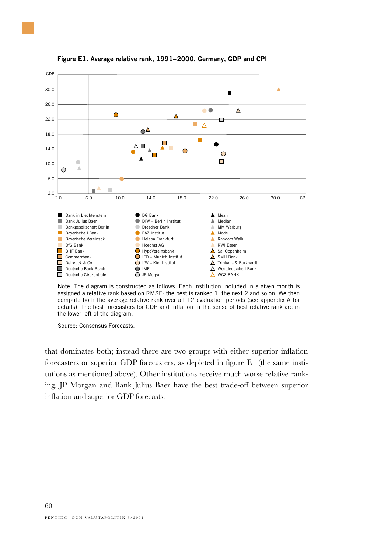

#### **Figure E1. Average relative rank, 1991–2000, Germany, GDP and CPI**

Note. The diagram is constructed as follows. Each institution included in a given month is assigned a relative rank based on RMSE: the best is ranked 1, the next 2 and so on. We then compute both the average relative rank over all 12 evaluation periods (see appendix A for details). The best forecasters for GDP and inflation in the sense of best relative rank are in the lower left of the diagram.

Source: Consensus Forecasts.

that dominates both; instead there are two groups with either superior inflation forecasters or superior GDP forecasters, as depicted in figure E1 (the same institutions as mentioned above). Other institutions receive much worse relative ranking. JP Morgan and Bank Julius Baer have the best trade-off between superior inflation and superior GDP forecasts.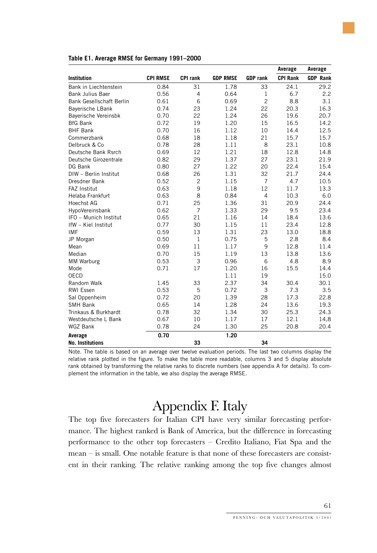|                                 |                 |                 |                 |                 | Average         | Average         |
|---------------------------------|-----------------|-----------------|-----------------|-----------------|-----------------|-----------------|
| <b>Institution</b>              | <b>CPI RMSE</b> | <b>CPI rank</b> | <b>GDP RMSE</b> | <b>GDP</b> rank | <b>CPI Rank</b> | <b>GDP Rank</b> |
| Bank in Liechtenstein           | 0.84            | 31              | 1.78            | 33              | 24.1            | 29.2            |
| <b>Bank Julius Baer</b>         | 0.56            | $\overline{4}$  | 0.64            | $\mathbf{1}$    | 6.7             | 2.2             |
| <b>Bank Gesellschaft Berlin</b> | 0.61            | 6               | 0.69            | $\overline{c}$  | 8.8             | 3.1             |
| Bayerische LBank                | 0.74            | 23              | 1.24            | 22              | 20.3            | 16.3            |
| Bayerische Vereinsbk            | 0.70            | 22              | 1.24            | 26              | 19.6            | 20.7            |
| <b>BfG Bank</b>                 | 0.72            | 19              | 1.20            | 15              | 16.5            | 14.2            |
| <b>BHF Bank</b>                 | 0.70            | 16              | 1.12            | 10              | 14.4            | 12.5            |
| Commerzbank                     | 0.68            | 18              | 1.18            | 21              | 15.7            | 15.7            |
| Delbruck & Co.                  | 0.78            | 28              | 1.11            | 8               | 23.1            | 10.8            |
| Deutsche Bank Rsrch             | 0.69            | 12              | 1.21            | 18              | 12.8            | 14.8            |
| Deutsche Girozentrale           | 0.82            | 29              | 1.37            | 27              | 23.1            | 21.9            |
| DG Bank                         | 0.80            | 27              | 1.22            | 20              | 22.4            | 15.4            |
| DIW - Berlin Institut           | 0.68            | 26              | 1.31            | 32              | 21.7            | 24.4            |
| Dresdner Bank                   | 0.52            | $\overline{c}$  | 1.15            | $\overline{7}$  | 4.7             | 10.5            |
| <b>FAZ Institut</b>             | 0.63            | 9               | 1.18            | 12              | 11.7            | 13.3            |
| Helaba Frankfurt                | 0.63            | 8               | 0.84            | $\overline{4}$  | 10.3            | 6.0             |
| <b>Hoechst AG</b>               | 0.71            | 25              | 1.36            | 31              | 20.9            | 24.4            |
| HypoVereinsbank                 | 0.62            | $\overline{7}$  | 1.33            | 29              | 9.5             | 23.4            |
| IFO - Munich Institut           | 0.65            | 21              | 1.16            | 14              | 18.4            | 13.6            |
| IfW - Kiel Institut             | 0.77            | 30              | 1.15            | 11              | 23.4            | 12.8            |
| <b>IMF</b>                      | 0.59            | 13              | 1.31            | 23              | 13.0            | 18.8            |
| JP Morgan                       | 0.50            | $\mathbf{1}$    | 0.75            | 5               | 2.8             | 8.4             |
| Mean                            | 0.69            | 11              | 1.17            | 9               | 12.8            | 11.4            |
| Median                          | 0.70            | 15              | 1.19            | 13              | 13.8            | 13.6            |
| MM Warburg                      | 0.53            | 3               | 0.96            | 6               | 4.8             | 8.9             |
| Mode                            | 0.71            | 17              | 1.20            | 16              | 15.5            | 14.4            |
| <b>OECD</b>                     |                 |                 | 1.11            | 19              |                 | 15.0            |
| Random Walk                     | 1.45            | 33              | 2.37            | 34              | 30.4            | 30.1            |
| <b>RWI Essen</b>                | 0.53            | 5               | 0.72            | 3               | 7.3             | 3.5             |
| Sal Oppenheim                   | 0.72            | 20              | 1.39            | 28              | 17.3            | 22.8            |
| <b>SMH Bank</b>                 | 0.65            | 14              | 1.28            | 24              | 13.6            | 19.3            |
| Trinkaus & Burkhardt            | 0.78            | 32              | 1.34            | 30              | 25.3            | 24.3            |
| Westdeutsche L Bank             | 0.67            | 10              | 1.17            | 17              | 12.1            | 14,8            |
| <b>WGZ Bank</b>                 | 0.78            | 24              | 1.30            | 25              | 20.8            | 20.4            |
| Average                         | 0.70            |                 | 1.20            |                 |                 |                 |
| <b>No. Institutions</b>         |                 | 33              |                 | 34              |                 |                 |

#### **Table E1. Average RMSE for Germany 1991–2000**

Note. The table is based on an average over twelve evaluation periods. The last two columns display the relative rank plotted in the figure. To make the table more readable, columns 3 and 5 display absolute rank obtained by transforming the relative ranks to discrete numbers (see appendix A for details). To complement the information in the table, we also display the average RMSE.

# Appendix F. Italy

The top five forecasters for Italian CPI have very similar forecasting performance. The highest ranked is Bank of America, but the difference in forecasting performance to the other top forecasters – Credito Italiano, Fiat Spa and the mean – is small. One notable feature is that none of these forecasters are consistent in their ranking. The relative ranking among the top five changes almost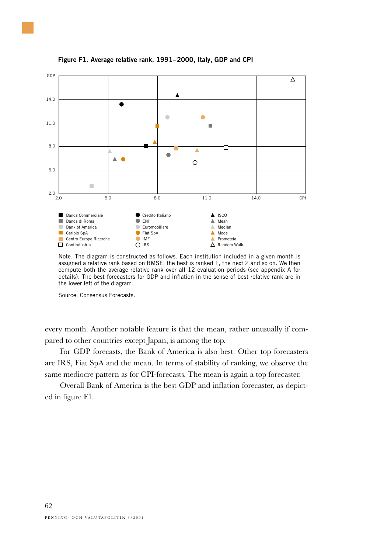

**Figure F1. Average relative rank, 1991–2000, Italy, GDP and CPI**

Note. The diagram is constructed as follows. Each institution included in a given month is assigned a relative rank based on RMSE: the best is ranked 1, the next 2 and so on. We then compute both the average relative rank over all 12 evaluation periods (see appendix A for details). The best forecasters for GDP and inflation in the sense of best relative rank are in the lower left of the diagram.

Source: Consensus Forecasts.

every month. Another notable feature is that the mean, rather unusually if compared to other countries except Japan, is among the top.

For GDP forecasts, the Bank of America is also best. Other top forecasters are IRS, Fiat SpA and the mean. In terms of stability of ranking, we observe the same mediocre pattern as for CPI-forecasts. The mean is again a top forecaster.

Overall Bank of America is the best GDP and inflation forecaster, as depicted in figure F1.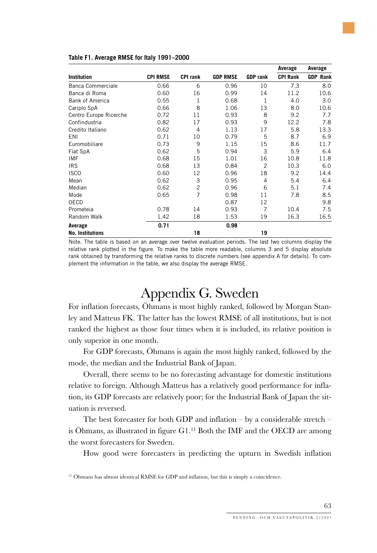|                         |                 |                 |                 |                 | Average         | Average         |
|-------------------------|-----------------|-----------------|-----------------|-----------------|-----------------|-----------------|
| <b>Institution</b>      | <b>CPI RMSE</b> | <b>CPI rank</b> | <b>GDP RMSE</b> | <b>GDP</b> rank | <b>CPI Rank</b> | <b>GDP Rank</b> |
| Banca Commerciale       | 0.66            | 6               | 0.96            | 10              | 7.3             | 8.0             |
| Banca di Roma           | 0.60            | 16              | 0.99            | 14              | 11.2            | 10.6            |
| <b>Bank of America</b>  | 0.55            | 1               | 0.68            | 1               | 4.0             | 3.0             |
| Cariplo SpA             | 0.66            | 8               | 1.06            | 13              | 8.0             | 10.6            |
| Centro Europe Ricerche  | 0.72            | 11              | 0.93            | 8               | 9.2             | 7.7             |
| Confindustria           | 0.82            | 17              | 0.93            | 9               | 12.2            | 7.8             |
| Credito Italiano        | 0.62            | $\overline{4}$  | 1.13            | 17              | 5.8             | 13.3            |
| <b>ENI</b>              | 0.71            | 10              | 0.79            | 5               | 8.7             | 6.9             |
| Euromobiliare           | 0.73            | 9               | 1.15            | 15              | 8.6             | 11.7            |
| Fiat SpA                | 0.62            | 5               | 0.94            | 3               | 5.9             | 6.4             |
| <b>IMF</b>              | 0.68            | 15              | 1.01            | 16              | 10.8            | 11.8            |
| <b>IRS</b>              | 0.68            | 13              | 0.84            | $\overline{c}$  | 10.3            | 6.0             |
| <b>ISCO</b>             | 0.60            | 12              | 0.96            | 18              | 9.2             | 14.4            |
| Mean                    | 0.62            | 3               | 0.95            | $\overline{4}$  | 5.4             | 6.4             |
| Median                  | 0.62            | $\overline{c}$  | 0.96            | 6               | 5.1             | 7.4             |
| Mode                    | 0.65            | $\overline{7}$  | 0.98            | 11              | 7.8             | 8.5             |
| <b>OECD</b>             |                 |                 | 0.87            | 12              |                 | 9.8             |
| Prometeia               | 0.78            | 14              | 0.93            | $\overline{7}$  | 10.4            | 7.5             |
| Random Walk             | 1.42            | 18              | 1.53            | 19              | 16.3            | 16.5            |
| Average                 | 0.71            |                 | 0.98            |                 |                 |                 |
| <b>No. Institutions</b> |                 | 18              |                 | 19              |                 |                 |

#### **Table F1. Average RMSE for Italy 1991–2000**

Note. The table is based on an average over twelve evaluation periods. The last two columns display the relative rank plotted in the figure. To make the table more readable, columns 3 and 5 display absolute rank obtained by transforming the relative ranks to discrete numbers (see appendix A for details). To complement the information in the table, we also display the average RMSE.

### Appendix G. Sweden

For inflation forecasts, Öhmans is most highly ranked, followed by Morgan Stanley and Matteus FK. The latter has the lowest RMSE of all institutions, but is not ranked the highest as those four times when it is included, its relative position is only superior in one month.

For GDP forecasts, Öhmans is again the most highly ranked, followed by the mode, the median and the Industrial Bank of Japan.

Overall, there seems to be no forecasting advantage for domestic institutions relative to foreign. Although Matteus has a relatively good performance for inflation, its GDP forecasts are relatively poor; for the Industrial Bank of Japan the situation is reversed.

The best forecaster for both GDP and inflation  $-$  by a considerable stretch  $$ is Öhmans, as illustrated in figure G1.11 Both the IMF and the OECD are among the worst forecasters for Sweden.

How good were forecasters in predicting the upturn in Swedish inflation

<sup>&</sup>lt;sup>11</sup> Öhmans has almost identical RMSE for GDP and inflation, but this is simply a coincidence.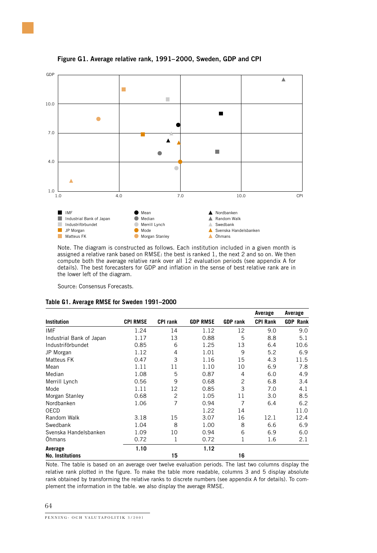

#### **Figure G1. Average relative rank, 1991–2000, Sweden, GDP and CPI**

Note. The diagram is constructed as follows. Each institution included in a given month is assigned a relative rank based on RMSE: the best is ranked 1, the next 2 and so on. We then compute both the average relative rank over all 12 evaluation periods (see appendix A for details). The best forecasters for GDP and inflation in the sense of best relative rank are in the lower left of the diagram.

Source: Consensus Forecasts.

| Table G1. Average RMSE for Sweden 1991-2000 |  |
|---------------------------------------------|--|
|---------------------------------------------|--|

|                          |                 |                 |                 |                 | Average         | Average         |
|--------------------------|-----------------|-----------------|-----------------|-----------------|-----------------|-----------------|
| <b>Institution</b>       | <b>CPI RMSE</b> | <b>CPI rank</b> | <b>GDP RMSE</b> | <b>GDP</b> rank | <b>CPI Rank</b> | <b>GDP Rank</b> |
| <b>IMF</b>               | 1.24            | 14              | 1.12            | 12              | 9.0             | 9.0             |
| Industrial Bank of Japan | 1.17            | 13              | 0.88            | 5               | 8.8             | 5.1             |
| Industriförbundet        | 0.85            | 6               | 1.25            | 13              | 6.4             | 10.6            |
| JP Morgan                | 1.12            | 4               | 1.01            | 9               | 5.2             | 6.9             |
| Matteus FK               | 0.47            | 3               | 1.16            | 15              | 4.3             | 11.5            |
| Mean                     | 1.11            | 11              | 1.10            | 10              | 6.9             | 7.8             |
| Median                   | 1.08            | 5               | 0.87            | 4               | 6.0             | 4.9             |
| Merrill Lynch            | 0.56            | 9               | 0.68            | $\overline{c}$  | 6.8             | 3.4             |
| Mode                     | 1.11            | 12              | 0.85            | 3               | 7.0             | 4.1             |
| Morgan Stanley           | 0.68            | 2               | 1.05            | 11              | 3.0             | 8.5             |
| Nordbanken               | 1.06            | 7               | 0.94            | $\overline{7}$  | 6.4             | 6.2             |
| OECD                     |                 |                 | 1.22            | 14              |                 | 11.0            |
| Random Walk              | 3.18            | 15              | 3.07            | 16              | 12.1            | 12.4            |
| Swedbank                 | 1.04            | 8               | 1.00            | 8               | 6.6             | 6.9             |
| Svenska Handelsbanken    | 1.09            | 10              | 0.94            | 6               | 6.9             | 6.0             |
| Öhmans                   | 0.72            | 1               | 0.72            | 1               | 1.6             | 2.1             |
| Average                  | 1.10            |                 | 1.12            |                 |                 |                 |
| <b>No. Institutions</b>  |                 | 15              |                 | 16              |                 |                 |

Note. The table is based on an average over twelve evaluation periods. The last two columns display the relative rank plotted in the figure. To make the table more readable, columns 3 and 5 display absolute rank obtained by transforming the relative ranks to discrete numbers (see appendix A for details). To complement the information in the table. we also display the average RMSE.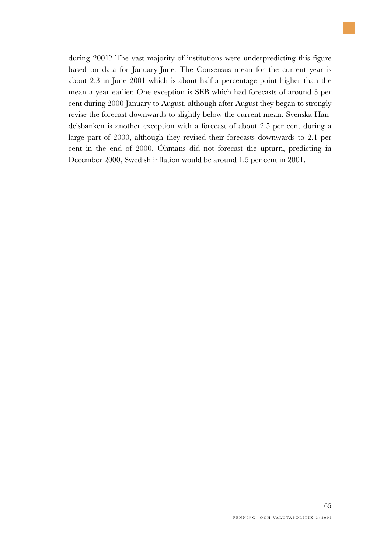during 2001? The vast majority of institutions were underpredicting this figure based on data for January-June. The Consensus mean for the current year is about 2.3 in June 2001 which is about half a percentage point higher than the mean a year earlier. One exception is SEB which had forecasts of around 3 per cent during 2000 January to August, although after August they began to strongly revise the forecast downwards to slightly below the current mean. Svenska Handelsbanken is another exception with a forecast of about 2.5 per cent during a large part of 2000, although they revised their forecasts downwards to 2.1 per cent in the end of 2000. Öhmans did not forecast the upturn, predicting in December 2000, Swedish inflation would be around 1.5 per cent in 2001.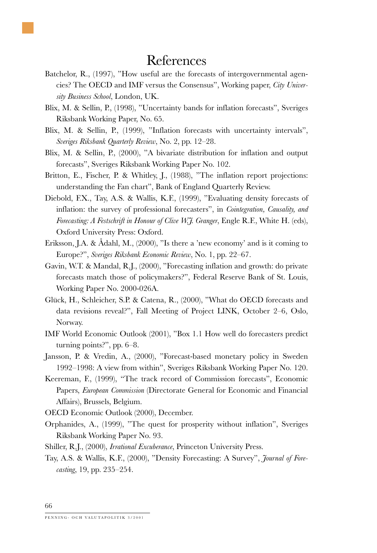#### References

- Batchelor, R., (1997), "How useful are the forecasts of intergovernmental agencies? The OECD and IMF versus the Consensus", Working paper, *City University Business School*, London, UK.
- Blix, M. & Sellin, P., (1998), "Uncertainty bands for inflation forecasts", Sveriges Riksbank Working Paper, No. 65.
- Blix, M. & Sellin, P., (1999), "Inflation forecasts with uncertainty intervals", *Sveriges Riksbank Quarterly Review*, No. 2, pp. 12–28.
- Blix, M. & Sellin, P., (2000), "A bivariate distribution for inflation and output forecasts", Sveriges Riksbank Working Paper No. 102.
- Britton, E., Fischer, P. & Whitley, J., (1988), "The inflation report projections: understanding the Fan chart", Bank of England Quarterly Review.
- Diebold, F.X., Tay, A.S. & Wallis, K.F., (1999), "Evaluating density forecasts of inflation: the survey of professional forecasters", in *Cointegration, Causality, and Forecasting: A Festschrift in Honour of Clive W.J. Granger*, Engle R.F., White H. (eds), Oxford University Press: Oxford.
- Eriksson, J.A. & Ådahl, M., (2000), "Is there a 'new economy' and is it coming to Europe?", *Sveriges Riksbank Economic Review*, No. 1, pp. 22–67.
- Gavin, W.T. & Mandal, R.J., (2000), "Forecasting inflation and growth: do private forecasts match those of policymakers?", Federal Reserve Bank of St. Louis, Working Paper No. 2000-026A.
- Glück, H., Schleicher, S.P. & Catena, R., (2000), "What do OECD forecasts and data revisions reveal?", Fall Meeting of Project LINK, October 2–6, Oslo, Norway.
- IMF World Economic Outlook (2001), "Box 1.1 How well do forecasters predict turning points?", pp. 6–8.
- Jansson, P. & Vredin, A., (2000), "Forecast-based monetary policy in Sweden 1992–1998: A view from within", Sveriges Riksbank Working Paper No. 120.
- Keereman, F., (1999), "The track record of Commission forecasts", Economic Papers, *European Commission* (Directorate General for Economic and Financial Affairs), Brussels, Belgium.

OECD Economic Outlook (2000), December.

- Orphanides, A., (1999), "The quest for prosperity without inflation", Sveriges Riksbank Working Paper No. 93.
- Shiller, R.J., (2000), *Irrational Excuberance*, Princeton University Press.
- Tay, A.S. & Wallis, K.F., (2000), "Density Forecasting: A Survey", *Journal of Forecasting*, 19, pp. 235–254.

PENNING- OCH VALUTAPOLITIK 3/2001